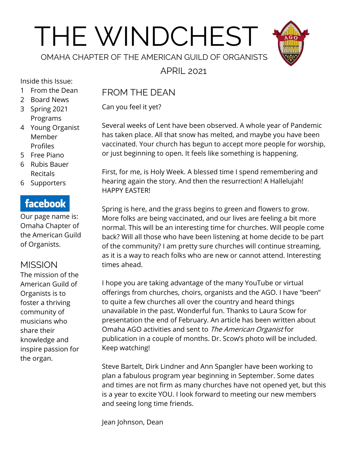# THE WINDCHEST



OMAHA CHAPTER OF THE AMERICAN GUILD OF ORGANISTS

APRIL 2021

Inside this Issue:

- 1 From the Dean
- 2 Board News
- 3 Spring 2021 Programs
- 4 Young Organist Member Profiles
- 5 Free Piano
- 6 Rubis Bauer Recitals
- 6 Supporters

## **facebook**

Our page name is: Omaha Chapter of the American Guild of Organists.

## **MISSION**

The mission of the American Guild of Organists is to foster a thriving community of musicians who share their knowledge and inspire passion for the organ.

## FROM THE DEAN

Can you feel it yet?

Several weeks of Lent have been observed. A whole year of Pandemic has taken place. All that snow has melted, and maybe you have been vaccinated. Your church has begun to accept more people for worship, or just beginning to open. It feels like something is happening.

First, for me, is Holy Week. A blessed time I spend remembering and hearing again the story. And then the resurrection! A Hallelujah! HAPPY EASTER!

Spring is here, and the grass begins to green and flowers to grow. More folks are being vaccinated, and our lives are feeling a bit more normal. This will be an interesting time for churches. Will people come back? Will all those who have been listening at home decide to be part of the community? I am pretty sure churches will continue streaming, as it is a way to reach folks who are new or cannot attend. Interesting times ahead.

I hope you are taking advantage of the many YouTube or virtual offerings from churches, choirs, organists and the AGO. I have "been" to quite a few churches all over the country and heard things unavailable in the past. Wonderful fun. Thanks to Laura Scow for presentation the end of February. An article has been written about Omaha AGO activities and sent to The American Organist for publication in a couple of months. Dr. Scow's photo will be included. Keep watching!

Steve Bartelt, Dirk Lindner and Ann Spangler have been working to plan a fabulous program year beginning in September. Some dates and times are not firm as many churches have not opened yet, but this is a year to excite YOU. I look forward to meeting our new members and seeing long time friends.

Jean Johnson, Dean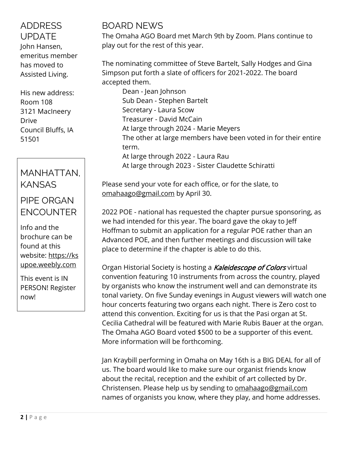#### ADDRESS UPDATE

John Hansen, emeritus member has moved to Assisted Living.

His new address: Room 108 3121 MacIneery Drive Council Bluffs, IA 51501

## MANHATTAN, KANSAS

## PIPE ORGAN **FNCOUNTER**

Info and the brochure can be found at this website: [https://ks](https://ksupoe.weebly.com/) [upoe.weebly.com](https://ksupoe.weebly.com/)

This event is IN PERSON! Register now!

## BOARD NEWS

The Omaha AGO Board met March 9th by Zoom. Plans continue to play out for the rest of this year.

The nominating committee of Steve Bartelt, Sally Hodges and Gina Simpson put forth a slate of officers for 2021-2022. The board accepted them.

Dean - Jean Johnson Sub Dean - Stephen Bartelt Secretary - Laura Scow Treasurer - David McCain At large through 2024 - Marie Meyers The other at large members have been voted in for their entire term. At large through 2022 - Laura Rau At large through 2023 - Sister Claudette Schiratti

Please send your vote for each office, or for the slate, to [omahaago@gmail.com](mailto:omahaago@gmail.com) by April 30.

2022 POE - national has requested the chapter pursue sponsoring, as we had intended for this year. The board gave the okay to Jeff Hoffman to submit an application for a regular POE rather than an Advanced POE, and then further meetings and discussion will take place to determine if the chapter is able to do this.

Organ Historial Society is hosting a Kaleidescope of Colors virtual convention featuring 10 instruments from across the country, played by organists who know the instrument well and can demonstrate its tonal variety. On five Sunday evenings in August viewers will watch one hour concerts featuring two organs each night. There is Zero cost to attend this convention. Exciting for us is that the Pasi organ at St. Cecilia Cathedral will be featured with Marie Rubis Bauer at the organ. The Omaha AGO Board voted \$500 to be a supporter of this event. More information will be forthcoming.

Jan Kraybill performing in Omaha on May 16th is a BIG DEAL for all of us. The board would like to make sure our organist friends know about the recital, reception and the exhibit of art collected by Dr. Christensen. Please help us by sending to [omahaago@gmail.com](mailto:omahaago@gmail.com) names of organists you know, where they play, and home addresses.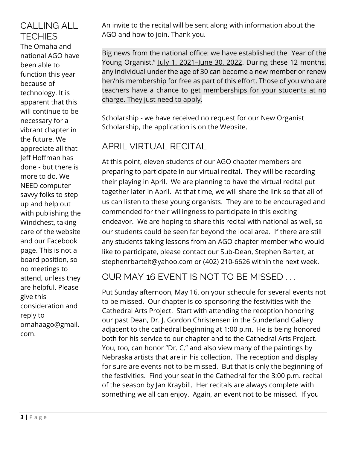## CALLING ALL **TECHIES**

The Omaha and national AGO have been able to function this year because of technology. It is apparent that this will continue to be necessary for a vibrant chapter in the future. We appreciate all that Jeff Hoffman has done - but there is more to do. We NEED computer savvy folks to step up and help out with publishing the Windchest, taking care of the website and our Facebook page. This is not a board position, so no meetings to attend, unless they are helpful. Please give this consideration and reply to omahaago@gmail. com.

An invite to the recital will be sent along with information about the AGO and how to join. Thank you.

Big news from the national office: we have established the Year of the Young Organist," July 1, 2021-June 30, [2022.](x-apple-data-detectors://1/) During these 12 months, any individual under the age of 30 can become a new member or renew her/his membership for free as part of this effort. Those of you who are teachers have a chance to get memberships for your students at no charge. They just need to apply.

Scholarship - we have received no request for our New Organist Scholarship, the application is on the Website.

## APRIL VIRTUAL RECITAL

At this point, eleven students of our AGO chapter members are preparing to participate in our virtual recital. They will be recording their playing in April. We are planning to have the virtual recital put together later in April. At that time, we will share the link so that all of us can listen to these young organists. They are to be encouraged and commended for their willingness to participate in this exciting endeavor. We are hoping to share this recital with national as well, so our students could be seen far beyond the local area. If there are still any students taking lessons from an AGO chapter member who would like to participate, please contact our Sub-Dean, Stephen Bartelt, at [stephenrbartelt@yahoo.com](mailto:stephenrbartelt@yahoo.com) or (402) 210-6626 within the next week.

OUR MAY 16 EVENT IS NOT TO BE MISSED . . .

Put Sunday afternoon, May 16, on your schedule for several events not to be missed. Our chapter is co-sponsoring the festivities with the Cathedral Arts Project. Start with attending the reception honoring our past Dean, Dr. J. Gordon Christensen in the Sunderland Gallery adjacent to the cathedral beginning at 1:00 p.m. He is being honored both for his service to our chapter and to the Cathedral Arts Project. You, too, can honor "Dr. C." and also view many of the paintings by Nebraska artists that are in his collection. The reception and display for sure are events not to be missed. But that is only the beginning of the festivities. Find your seat in the Cathedral for the 3:00 p.m. recital of the season by Jan Kraybill. Her recitals are always complete with something we all can enjoy. Again, an event not to be missed. If you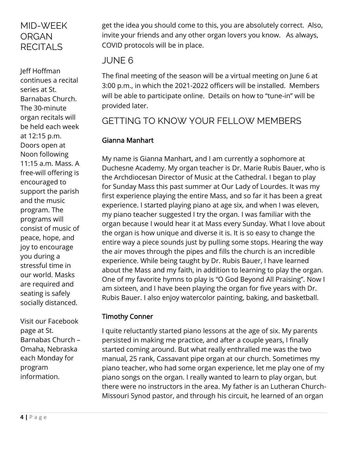### MID-WEEK ORGAN **RECITALS**

Jeff Hoffman continues a recital series at St. Barnabas Church. The 30-minute organ recitals will be held each week at 12:15 p.m. Doors open at Noon following 11:15 a.m. Mass. A free-will offering is encouraged to support the parish and the music program. The programs will consist of music of peace, hope, and joy to encourage you during a stressful time in our world. Masks are required and seating is safely socially distanced.

Visit our Facebook page at St. Barnabas Church – Omaha, Nebraska each Monday for program information.

get the idea you should come to this, you are absolutely correct. Also, invite your friends and any other organ lovers you know. As always, COVID protocols will be in place.

#### JUNE 6

The final meeting of the season will be a virtual meeting on June 6 at 3:00 p.m., in which the 2021-2022 officers will be installed. Members will be able to participate online. Details on how to "tune-in" will be provided later.

## GETTING TO KNOW YOUR FELLOW MEMBERS

#### Gianna Manhart

My name is Gianna Manhart, and I am currently a sophomore at Duchesne Academy. My organ teacher is Dr. Marie Rubis Bauer, who is the Archdiocesan Director of Music at the Cathedral. I began to play for Sunday Mass this past summer at Our Lady of Lourdes. It was my first experience playing the entire Mass, and so far it has been a great experience. I started playing piano at age six, and when I was eleven, my piano teacher suggested I try the organ. I was familiar with the organ because I would hear it at Mass every Sunday. What I love about the organ is how unique and diverse it is. It is so easy to change the entire way a piece sounds just by pulling some stops. Hearing the way the air moves through the pipes and fills the church is an incredible experience. While being taught by Dr. Rubis Bauer, I have learned about the Mass and my faith, in addition to learning to play the organ. One of my favorite hymns to play is "O God Beyond All Praising". Now I am sixteen, and I have been playing the organ for five years with Dr. Rubis Bauer. I also enjoy watercolor painting, baking, and basketball.

#### Timothy Conner

I quite reluctantly started piano lessons at the age of six. My parents persisted in making me practice, and after a couple years, I finally started coming around. But what really enthralled me was the two manual, 25 rank, Cassavant pipe organ at our church. Sometimes my piano teacher, who had some organ experience, let me play one of my piano songs on the organ. I really wanted to learn to play organ, but there were no instructors in the area. My father is an Lutheran Church-Missouri Synod pastor, and through his circuit, he learned of an organ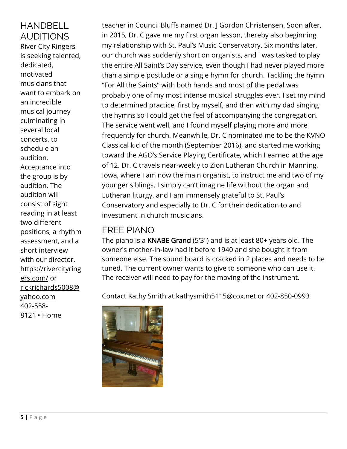HANDBELL AUDITIONS River City Ringers is seeking talented, dedicated, motivated musicians that want to embark on an incredible musical journey culminating in several local concerts. to schedule an audition. Acceptance into the group is by audition. The audition will consist of sight reading in at least two different positions, a rhythm assessment, and a short interview with our director. [https://rivercityring](https://rivercityringers.com/) [ers.com/](https://rivercityringers.com/) or [rickrichards5008@](mailto:rickrichards5008@yahoo.com) [yahoo.com](mailto:rickrichards5008@yahoo.com) 402-558- 8121 • Home

teacher in Council Bluffs named Dr. J Gordon Christensen. Soon after, in 2015, Dr. C gave me my first organ lesson, thereby also beginning my relationship with St. Paul's Music Conservatory. Six months later, our church was suddenly short on organists, and I was tasked to play the entire All Saint's Day service, even though I had never played more than a simple postlude or a single hymn for church. Tackling the hymn "For All the Saints" with both hands and most of the pedal was probably one of my most intense musical struggles ever. I set my mind to determined practice, first by myself, and then with my dad singing the hymns so I could get the feel of accompanying the congregation. The service went well, and I found myself playing more and more frequently for church. Meanwhile, Dr. C nominated me to be the KVNO Classical kid of the month (September 2016), and started me working toward the AGO's Service Playing Certificate, which I earned at the age of 12. Dr. C travels near-weekly to Zion Lutheran Church in Manning, Iowa, where I am now the main organist, to instruct me and two of my younger siblings. I simply can't imagine life without the organ and Lutheran liturgy, and I am immensely grateful to St. Paul's Conservatory and especially to Dr. C for their dedication to and investment in church musicians.

#### FREE PIANO

The piano is a KNABE Grand (5'3") and is at least 80+ years old. The owner's mother-in-law had it before 1940 and she bought it from someone else. The sound board is cracked in 2 places and needs to be tuned. The current owner wants to give to someone who can use it. The receiver will need to pay for the moving of the instrument.

Contact Kathy Smith at [kathysmith5115@cox.net](mailto:kathysmith5115@cox.net) or 402-850-0993